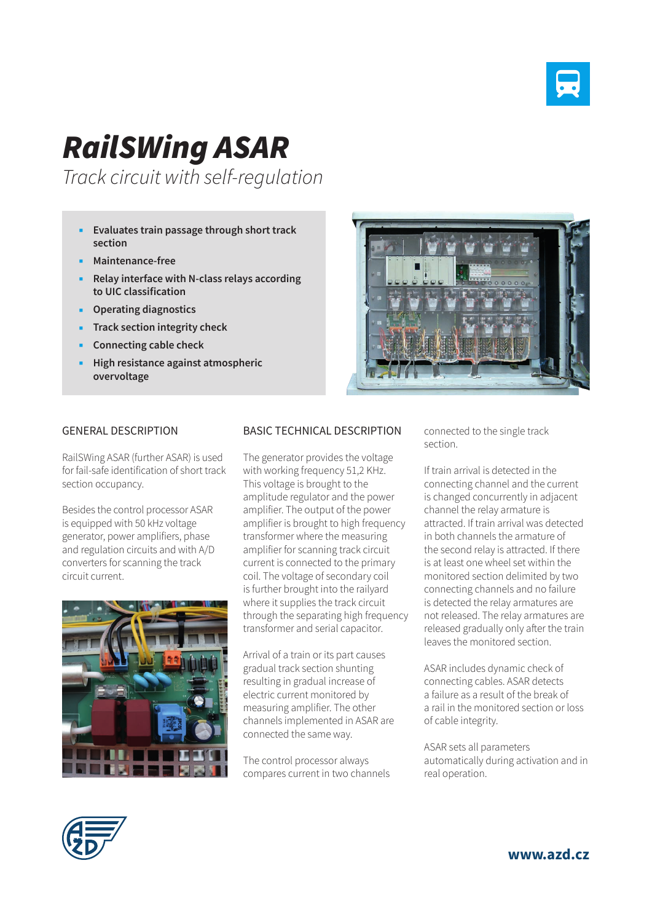

## *RailSWing ASAR*

*Track circuit with self-regulation*

- **Evaluates train passage through short track section**
- **Maintenance-free**
- **Relay interface with N-class relays according to UIC classification**
- **Operating diagnostics**
- **Track section integrity check**
- **Connecting cable check**
- **High resistance against atmospheric overvoltage**



## GENERAL DESCRIPTION

RailSWing ASAR (further ASAR) is used for fail-safe identification of short track section occupancy.

Besides the control processor ASAR is equipped with 50 kHz voltage generator, power amplifiers, phase and regulation circuits and with A/D converters for scanning the track circuit current.



## BASIC TECHNICAL DESCRIPTION

The generator provides the voltage with working frequency 51,2 KHz. This voltage is brought to the amplitude regulator and the power amplifier. The output of the power amplifier is brought to high frequency transformer where the measuring amplifier for scanning track circuit current is connected to the primary coil. The voltage of secondary coil is further brought into the railyard where it supplies the track circuit through the separating high frequency transformer and serial capacitor.

Arrival of a train or its part causes gradual track section shunting resulting in gradual increase of electric current monitored by measuring amplifier. The other channels implemented in ASAR are connected the same way.

The control processor always compares current in two channels connected to the single track section.

If train arrival is detected in the connecting channel and the current is changed concurrently in adjacent channel the relay armature is attracted. If train arrival was detected in both channels the armature of the second relay is attracted. If there is at least one wheel set within the monitored section delimited by two connecting channels and no failure is detected the relay armatures are not released. The relay armatures are released gradually only after the train leaves the monitored section.

ASAR includes dynamic check of connecting cables. ASAR detects a failure as a result of the break of a rail in the monitored section or loss of cable integrity.

ASAR sets all parameters automatically during activation and in real operation.



**www.azd.cz**